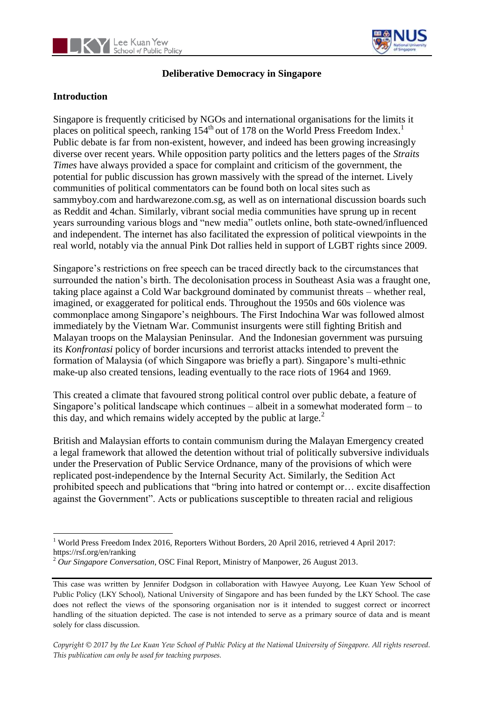



#### **Deliberative Democracy in Singapore**

# **Introduction**

Singapore is frequently criticised by NGOs and international organisations for the limits it places on political speech, ranking  $154<sup>th</sup>$  out of 178 on the World Press Freedom Index.<sup>1</sup> Public debate is far from non-existent, however, and indeed has been growing increasingly diverse over recent years. While opposition party politics and the letters pages of the *Straits Times* have always provided a space for complaint and criticism of the government, the potential for public discussion has grown massively with the spread of the internet. Lively communities of political commentators can be found both on local sites such as sammyboy.com and hardwarezone.com.sg, as well as on international discussion boards such as Reddit and 4chan. Similarly, vibrant social media communities have sprung up in recent years surrounding various blogs and "new media" outlets online, both state-owned/influenced and independent. The internet has also facilitated the expression of political viewpoints in the real world, notably via the annual Pink Dot rallies held in support of LGBT rights since 2009.

Singapore's restrictions on free speech can be traced directly back to the circumstances that surrounded the nation's birth. The decolonisation process in Southeast Asia was a fraught one, taking place against a Cold War background dominated by communist threats – whether real, imagined, or exaggerated for political ends. Throughout the 1950s and 60s violence was commonplace among Singapore's neighbours. The First Indochina War was followed almost immediately by the Vietnam War. Communist insurgents were still fighting British and Malayan troops on the Malaysian Peninsular. And the Indonesian government was pursuing its *Konfrontasi* policy of border incursions and terrorist attacks intended to prevent the formation of Malaysia (of which Singapore was briefly a part). Singapore's multi-ethnic make-up also created tensions, leading eventually to the race riots of 1964 and 1969.

This created a climate that favoured strong political control over public debate, a feature of Singapore's political landscape which continues – albeit in a somewhat moderated form – to this day, and which remains widely accepted by the public at large. $<sup>2</sup>$ </sup>

British and Malaysian efforts to contain communism during the Malayan Emergency created a legal framework that allowed the detention without trial of politically subversive individuals under the Preservation of Public Service Ordnance, many of the provisions of which were replicated post-independence by the Internal Security Act. Similarly, the Sedition Act prohibited speech and publications that "bring into hatred or contempt or… excite disaffection against the Government". Acts or publications susceptible to threaten racial and religious

*Copyright © 2017 by the Lee Kuan Yew School of Public Policy at the National University of Singapore. All rights reserved. This publication can only be used for teaching purposes.*

 $\overline{a}$ <sup>1</sup> World Press Freedom Index 2016, Reporters Without Borders, 20 April 2016, retrieved 4 April 2017: https://rsf.org/en/ranking

<sup>2</sup> *Our Singapore Conversation*, OSC Final Report, Ministry of Manpower, 26 August 2013.

This case was written by Jennifer Dodgson in collaboration with Hawyee Auyong, Lee Kuan Yew School of Public Policy (LKY School), National University of Singapore and has been funded by the LKY School. The case does not reflect the views of the sponsoring organisation nor is it intended to suggest correct or incorrect handling of the situation depicted. The case is not intended to serve as a primary source of data and is meant solely for class discussion.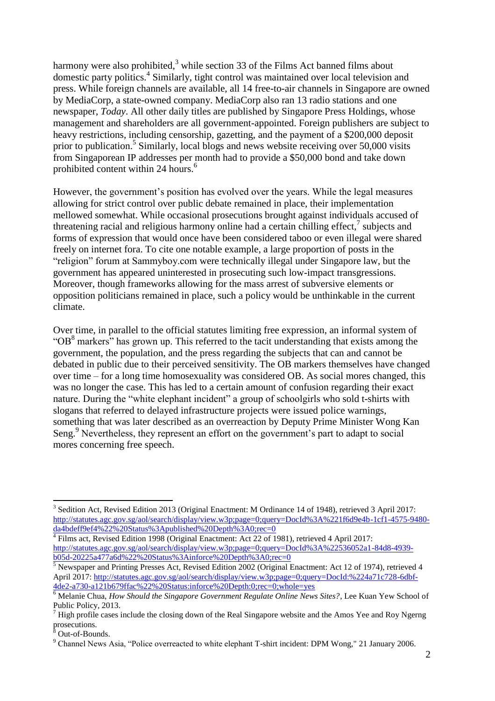harmony were also prohibited, $3\overline{3}$  while section 33 of the Films Act banned films about domestic party politics.<sup>4</sup> Similarly, tight control was maintained over local television and press. While foreign channels are available, all 14 free-to-air channels in Singapore are owned by MediaCorp, a state-owned company. MediaCorp also ran 13 radio stations and one newspaper, *Today*. All other daily titles are published by Singapore Press Holdings, whose management and shareholders are all government-appointed. Foreign publishers are subject to heavy restrictions, including censorship, gazetting, and the payment of a \$200,000 deposit prior to publication.<sup>5</sup> Similarly, local blogs and news website receiving over 50,000 visits from Singaporean IP addresses per month had to provide a \$50,000 bond and take down prohibited content within 24 hours.<sup>6</sup>

However, the government's position has evolved over the years. While the legal measures allowing for strict control over public debate remained in place, their implementation mellowed somewhat. While occasional prosecutions brought against individuals accused of threatening racial and religious harmony online had a certain chilling effect, $\frac{7}{1}$  subjects and forms of expression that would once have been considered taboo or even illegal were shared freely on internet fora. To cite one notable example, a large proportion of posts in the "religion" forum at Sammyboy.com were technically illegal under Singapore law, but the government has appeared uninterested in prosecuting such low-impact transgressions. Moreover, though frameworks allowing for the mass arrest of subversive elements or opposition politicians remained in place, such a policy would be unthinkable in the current climate.

Over time, in parallel to the official statutes limiting free expression, an informal system of " $OB<sup>8</sup>$  markers" has grown up. This referred to the tacit understanding that exists among the government, the population, and the press regarding the subjects that can and cannot be debated in public due to their perceived sensitivity. The OB markers themselves have changed over time – for a long time homosexuality was considered OB. As social mores changed, this was no longer the case. This has led to a certain amount of confusion regarding their exact nature. During the "white elephant incident" a group of schoolgirls who sold t-shirts with slogans that referred to delayed infrastructure projects were issued police warnings, something that was later described as an overreaction by Deputy Prime Minister Wong Kan Seng.<sup>9</sup> Nevertheless, they represent an effort on the government's part to adapt to social mores concerning free speech.

 $\overline{a}$ <sup>3</sup> Sedition Act, Revised Edition 2013 (Original Enactment: M Ordinance 14 of 1948), retrieved 3 April 2017: [http://statutes.agc.gov.sg/aol/search/display/view.w3p;page=0;query=DocId%3A%221f6d9e4b-1cf1-4575-9480-](http://statutes.agc.gov.sg/aol/search/display/view.w3p;page=0;query=DocId%3A%221f6d9e4b-1cf1-4575-9480-da4bdeff9ef4%22%20Status%3Apublished%20Depth%3A0;rec=0)

[da4bdeff9ef4%22%20Status%3Apublished%20Depth%3A0;rec=0](http://statutes.agc.gov.sg/aol/search/display/view.w3p;page=0;query=DocId%3A%221f6d9e4b-1cf1-4575-9480-da4bdeff9ef4%22%20Status%3Apublished%20Depth%3A0;rec=0)<br><sup>4</sup> Films act, Revised Edition 1998 (Original Enactment: Act 22 of 1981), retrieved 4 April 2017: [http://statutes.agc.gov.sg/aol/search/display/view.w3p;page=0;query=DocId%3A%22536052a1-84d8-4939](http://statutes.agc.gov.sg/aol/search/display/view.w3p;page=0;query=DocId%3A%22536052a1-84d8-4939-b05d-20225a477a6d%22%20Status%3Ainforce%20Depth%3A0;rec=0) [b05d-20225a477a6d%22%20Status%3Ainforce%20Depth%3A0;rec=0](http://statutes.agc.gov.sg/aol/search/display/view.w3p;page=0;query=DocId%3A%22536052a1-84d8-4939-b05d-20225a477a6d%22%20Status%3Ainforce%20Depth%3A0;rec=0)

<sup>&</sup>lt;sup>5</sup> Newspaper and Printing Presses Act, Revised Edition 2002 (Original Enactment: Act 12 of 1974), retrieved 4 April 2017[: http://statutes.agc.gov.sg/aol/search/display/view.w3p;page=0;query=DocId:%224a71c728-6dbf-](http://statutes.agc.gov.sg/aol/search/display/view.w3p;page=0;query=DocId:%224a71c728-6dbf-4de2-a730-a121b679ffac%22%20Status:inforce%20Depth:0;rec=0;whole=yes)[4de2-a730-a121b679ffac%22%20Status:inforce%20Depth:0;rec=0;whole=yes](http://statutes.agc.gov.sg/aol/search/display/view.w3p;page=0;query=DocId:%224a71c728-6dbf-4de2-a730-a121b679ffac%22%20Status:inforce%20Depth:0;rec=0;whole=yes)

<sup>6</sup> Melanie Chua, *How Should the Singapore Government Regulate Online News Sites?*, Lee Kuan Yew School of Public Policy, 2013.

 $<sup>7</sup>$  High profile cases include the closing down of the Real Singapore website and the Amos Yee and Roy Ngerng</sup> prosecutions.

Out-of-Bounds.

<sup>9</sup> Channel News Asia, "Police overreacted to white elephant T-shirt incident: DPM Wong," 21 January 2006.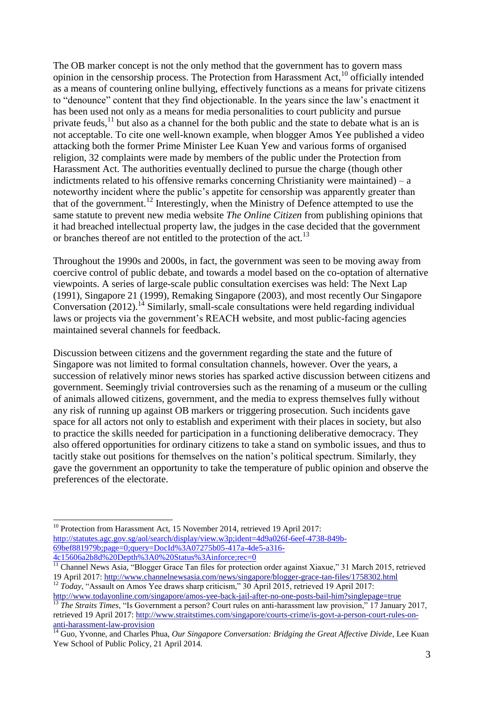The OB marker concept is not the only method that the government has to govern mass opinion in the censorship process. The Protection from Harassment Act, $^{10}$  officially intended as a means of countering online bullying, effectively functions as a means for private citizens to "denounce" content that they find objectionable. In the years since the law's enactment it has been used not only as a means for media personalities to court publicity and pursue private feuds, $^{11}$  but also as a channel for the both public and the state to debate what is an is not acceptable. To cite one well-known example, when blogger Amos Yee published a video attacking both the former Prime Minister Lee Kuan Yew and various forms of organised religion, 32 complaints were made by members of the public under the Protection from Harassment Act. The authorities eventually declined to pursue the charge (though other indictments related to his offensive remarks concerning Christianity were maintained) –  $a$ noteworthy incident where the public's appetite for censorship was apparently greater than that of the government.<sup>12</sup> Interestingly, when the Ministry of Defence attempted to use the same statute to prevent new media website *The Online Citizen* from publishing opinions that it had breached intellectual property law, the judges in the case decided that the government or branches thereof are not entitled to the protection of the act.<sup>13</sup>

Throughout the 1990s and 2000s, in fact, the government was seen to be moving away from coercive control of public debate, and towards a model based on the co-optation of alternative viewpoints. A series of large-scale public consultation exercises was held: The Next Lap (1991), Singapore 21 (1999), Remaking Singapore (2003), and most recently Our Singapore Conversation  $(2012)$ .<sup>14</sup> Similarly, small-scale consultations were held regarding individual laws or projects via the government's REACH website, and most public-facing agencies maintained several channels for feedback.

Discussion between citizens and the government regarding the state and the future of Singapore was not limited to formal consultation channels, however. Over the years, a succession of relatively minor news stories has sparked active discussion between citizens and government. Seemingly trivial controversies such as the renaming of a museum or the culling of animals allowed citizens, government, and the media to express themselves fully without any risk of running up against OB markers or triggering prosecution. Such incidents gave space for all actors not only to establish and experiment with their places in society, but also to practice the skills needed for participation in a functioning deliberative democracy. They also offered opportunities for ordinary citizens to take a stand on symbolic issues, and thus to tacitly stake out positions for themselves on the nation's political spectrum. Similarly, they gave the government an opportunity to take the temperature of public opinion and observe the preferences of the electorate.

<sup>&</sup>lt;sup>10</sup> Protection from Harassment Act, 15 November 2014, retrieved 19 April 2017: [http://statutes.agc.gov.sg/aol/search/display/view.w3p;ident=4d9a026f-6eef-4738-849b-](http://statutes.agc.gov.sg/aol/search/display/view.w3p;ident=4d9a026f-6eef-4738-849b-69bef881979b;page=0;query=DocId%3A07275b05-417a-4de5-a316-4c15606a2b8d%20Depth%3A0%20Status%3Ainforce;rec=0)[69bef881979b;page=0;query=DocId%3A07275b05-417a-4de5-a316-](http://statutes.agc.gov.sg/aol/search/display/view.w3p;ident=4d9a026f-6eef-4738-849b-69bef881979b;page=0;query=DocId%3A07275b05-417a-4de5-a316-4c15606a2b8d%20Depth%3A0%20Status%3Ainforce;rec=0) [4c15606a2b8d%20Depth%3A0%20Status%3Ainforce;rec=0](http://statutes.agc.gov.sg/aol/search/display/view.w3p;ident=4d9a026f-6eef-4738-849b-69bef881979b;page=0;query=DocId%3A07275b05-417a-4de5-a316-4c15606a2b8d%20Depth%3A0%20Status%3Ainforce;rec=0)

<sup>&</sup>lt;sup>11</sup> Channel News Asia, "Blogger Grace Tan files for protection order against Xiaxue," 31 March 2015, retrieved 19 April 2017:<http://www.channelnewsasia.com/news/singapore/blogger-grace-tan-files/1758302.html> <sup>12</sup> *Today*, "Assault on Amos Yee draws sharp criticism," 30 April 2015, retrieved 19 April 2017:

<http://www.todayonline.com/singapore/amos-yee-back-jail-after-no-one-posts-bail-him?singlepage=true>

<sup>13</sup> *The Straits Times*, "Is Government a person? Court rules on anti-harassment law provision," 17 January 2017, retrieved 19 April 2017: [http://www.straitstimes.com/singapore/courts-crime/is-govt-a-person-court-rules-on](http://www.straitstimes.com/singapore/courts-crime/is-govt-a-person-court-rules-on-anti-harassment-law-provision)[anti-harassment-law-provision](http://www.straitstimes.com/singapore/courts-crime/is-govt-a-person-court-rules-on-anti-harassment-law-provision)

<sup>&</sup>lt;sup>14</sup> Guo, Yvonne, and Charles Phua, *Our Singapore Conversation: Bridging the Great Affective Divide*, Lee Kuan Yew School of Public Policy, 21 April 2014.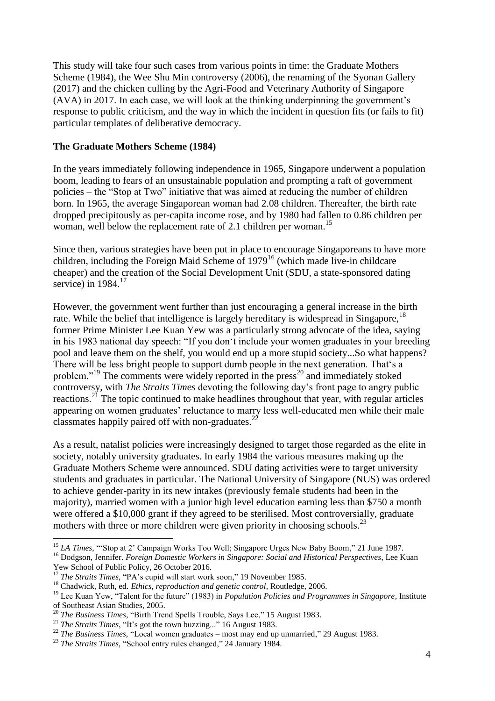This study will take four such cases from various points in time: the Graduate Mothers Scheme (1984), the Wee Shu Min controversy (2006), the renaming of the Syonan Gallery (2017) and the chicken culling by the Agri-Food and Veterinary Authority of Singapore (AVA) in 2017. In each case, we will look at the thinking underpinning the government's response to public criticism, and the way in which the incident in question fits (or fails to fit) particular templates of deliberative democracy.

#### **The Graduate Mothers Scheme (1984)**

In the years immediately following independence in 1965, Singapore underwent a population boom, leading to fears of an unsustainable population and prompting a raft of government policies – the "Stop at Two" initiative that was aimed at reducing the number of children born. In 1965, the average Singaporean woman had 2.08 children. Thereafter, the birth rate dropped precipitously as per-capita income rose, and by 1980 had fallen to 0.86 children per woman, well below the replacement rate of 2.1 children per woman.<sup>15</sup>

Since then, various strategies have been put in place to encourage Singaporeans to have more children, including the Foreign Maid Scheme of  $1979^{16}$  (which made live-in childcare cheaper) and the creation of the Social Development Unit (SDU, a state-sponsored dating service) in  $1984.<sup>17</sup>$ 

However, the government went further than just encouraging a general increase in the birth rate. While the belief that intelligence is largely hereditary is widespread in Singapore,  $^{18}$ former Prime Minister Lee Kuan Yew was a particularly strong advocate of the idea, saying in his 1983 national day speech: "If you don't include your women graduates in your breeding pool and leave them on the shelf, you would end up a more stupid society...So what happens? There will be less bright people to support dumb people in the next generation. That's a problem."<sup>19</sup> The comments were widely reported in the press<sup>20</sup> and immediately stoked controversy, with *The Straits Times* devoting the following day's front page to angry public reactions.<sup>21</sup> The topic continued to make headlines throughout that year, with regular articles appearing on women graduates' reluctance to marry less well-educated men while their male classmates happily paired off with non-graduates.<sup>22</sup>

As a result, natalist policies were increasingly designed to target those regarded as the elite in society, notably university graduates. In early 1984 the various measures making up the Graduate Mothers Scheme were announced. SDU dating activities were to target university students and graduates in particular. The National University of Singapore (NUS) was ordered to achieve gender-parity in its new intakes (previously female students had been in the majority), married women with a junior high level education earning less than \$750 a month were offered a \$10,000 grant if they agreed to be sterilised. Most controversially, graduate mothers with three or more children were given priority in choosing schools.<sup>23</sup>

 $\overline{a}$ <sup>15</sup> *LA Times*, "Stop at 2' Campaign Works Too Well; Singapore Urges New Baby Boom," 21 June 1987.

<sup>&</sup>lt;sup>16</sup> Dodgson, Jennifer. *Foreign Domestic Workers in Singapore: Social and Historical Perspectives*, Lee Kuan Yew School of Public Policy, 26 October 2016.

<sup>&</sup>lt;sup>17</sup> *The Straits Times*, "PA's cupid will start work soon," 19 November 1985.

<sup>18</sup> Chadwick, Ruth, ed. *Ethics, reproduction and genetic control*, Routledge, 2006.

<sup>19</sup> Lee Kuan Yew, "Talent for the future" (1983) in *Population Policies and Programmes in Singapore*, Institute of Southeast Asian Studies, 2005.

<sup>20</sup> *The Business Times*, "Birth Trend Spells Trouble, Says Lee," 15 August 1983.

<sup>21</sup> *The Straits Times*, "It's got the town buzzing..." 16 August 1983.

<sup>&</sup>lt;sup>22</sup> *The Business Times,* "Local women graduates – most may end up unmarried," 29 August 1983.

<sup>&</sup>lt;sup>23</sup> *The Straits Times*, "School entry rules changed," 24 January 1984.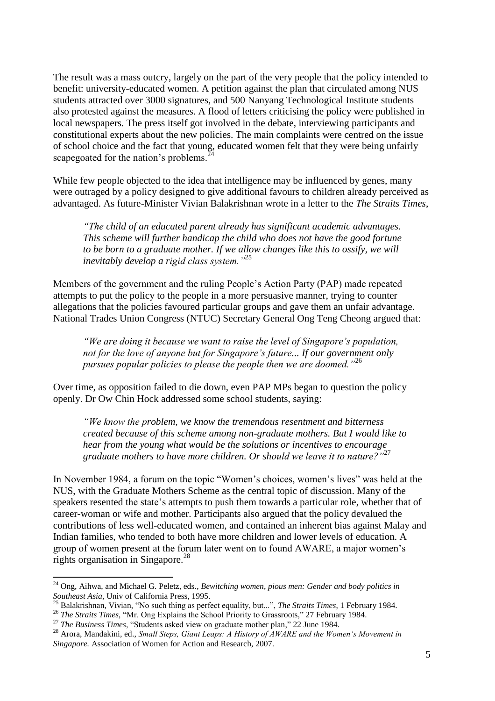The result was a mass outcry, largely on the part of the very people that the policy intended to benefit: university-educated women. A petition against the plan that circulated among NUS students attracted over 3000 signatures, and 500 Nanyang Technological Institute students also protested against the measures. A flood of letters criticising the policy were published in local newspapers. The press itself got involved in the debate, interviewing participants and constitutional experts about the new policies. The main complaints were centred on the issue of school choice and the fact that young, educated women felt that they were being unfairly scapegoated for the nation's problems.<sup>2</sup>

While few people objected to the idea that intelligence may be influenced by genes, many were outraged by a policy designed to give additional favours to children already perceived as advantaged. As future-Minister Vivian Balakrishnan wrote in a letter to the *The Straits Times*,

*"The child of an educated parent already has significant academic advantages. This scheme will further handicap the child who does not have the good fortune to be born to a graduate mother. If we allow changes like this to ossify, we will inevitably develop a rigid class system."*<sup>25</sup>

Members of the government and the ruling People's Action Party (PAP) made repeated attempts to put the policy to the people in a more persuasive manner, trying to counter allegations that the policies favoured particular groups and gave them an unfair advantage. National Trades Union Congress (NTUC) Secretary General Ong Teng Cheong argued that:

*"We are doing it because we want to raise the level of Singapore's population, not for the love of anyone but for Singapore's future... If our government only pursues popular policies to please the people then we are doomed."*<sup>26</sup>

Over time, as opposition failed to die down, even PAP MPs began to question the policy openly. Dr Ow Chin Hock addressed some school students, saying:

*"We know the problem, we know the tremendous resentment and bitterness created because of this scheme among non-graduate mothers. But I would like to hear from the young what would be the solutions or incentives to encourage*  graduate mothers to have more children. Or should we leave it to nature?"<sup>27</sup>

In November 1984, a forum on the topic "Women's choices, women's lives" was held at the NUS, with the Graduate Mothers Scheme as the central topic of discussion. Many of the speakers resented the state's attempts to push them towards a particular role, whether that of career-woman or wife and mother. Participants also argued that the policy devalued the contributions of less well-educated women, and contained an inherent bias against Malay and Indian families, who tended to both have more children and lower levels of education. A group of women present at the forum later went on to found AWARE, a major women's rights organisation in Singapore.<sup>28</sup>

<sup>24</sup> Ong, Aihwa, and Michael G. Peletz, eds., *Bewitching women, pious men: Gender and body politics in Southeast Asia*, Univ of California Press, 1995.

<sup>25</sup> Balakrishnan, Vivian, "No such thing as perfect equality, but...", *The Straits Times*, 1 February 1984.

<sup>&</sup>lt;sup>26</sup> *The Straits Times*, "Mr. Ong Explains the School Priority to Grassroots," 27 February 1984.

<sup>27</sup> *The Business Times*, "Students asked view on graduate mother plan," 22 June 1984.

<sup>28</sup> Arora, Mandakini, ed., *Small Steps, Giant Leaps: A History of AWARE and the Women's Movement in Singapore.* Association of Women for Action and Research, 2007.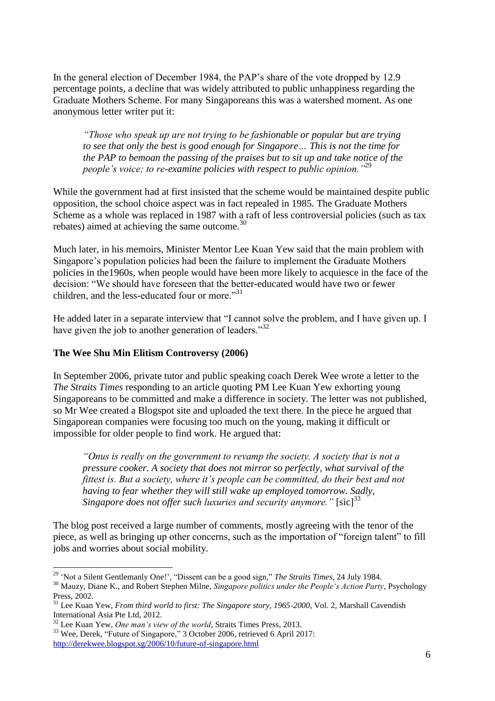In the general election of December 1984, the PAP's share of the vote dropped by 12.9 percentage points, a decline that was widely attributed to public unhappiness regarding the Graduate Mothers Scheme. For many Singaporeans this was a watershed moment. As one anonymous letter writer put it:

*"Those who speak up are not trying to be fashionable or popular but are trying to see that only the best is good enough for Singapore… This is not the time for the PAP to bemoan the passing of the praises but to sit up and take notice of the people's voice; to re-examine policies with respect to public opinion."*<sup>29</sup>

While the government had at first insisted that the scheme would be maintained despite public opposition, the school choice aspect was in fact repealed in 1985. The Graduate Mothers Scheme as a whole was replaced in 1987 with a raft of less controversial policies (such as tax rebates) aimed at achieving the same outcome.<sup>30</sup>

Much later, in his memoirs, Minister Mentor Lee Kuan Yew said that the main problem with Singapore's population policies had been the failure to implement the Graduate Mothers policies in the1960s, when people would have been more likely to acquiesce in the face of the decision: "We should have foreseen that the better-educated would have two or fewer children, and the less-educated four or more."<sup>31</sup>

He added later in a separate interview that "I cannot solve the problem, and I have given up. I have given the job to another generation of leaders."<sup>32</sup>

#### **The Wee Shu Min Elitism Controversy (2006)**

In September 2006, private tutor and public speaking coach Derek Wee wrote a letter to the *The Straits Times* responding to an article quoting PM Lee Kuan Yew exhorting young Singaporeans to be committed and make a difference in society. The letter was not published, so Mr Wee created a Blogspot site and uploaded the text there. In the piece he argued that Singaporean companies were focusing too much on the young, making it difficult or impossible for older people to find work. He argued that:

*"Onus is really on the government to revamp the society. A society that is not a pressure cooker. A society that does not mirror so perfectly, what survival of the fittest is. But a society, where it's people can be committed, do their best and not having to fear whether they will still wake up employed tomorrow. Sadly, Singapore does not offer such luxuries and security anymore.*" [sic]<sup>33</sup>

The blog post received a large number of comments, mostly agreeing with the tenor of the piece, as well as bringing up other concerns, such as the importation of "foreign talent" to fill jobs and worries about social mobility.

<sup>29</sup> 'Not a Silent Gentlemanly One!', "Dissent can be a good sign," *The Straits Times*, 24 July 1984.

<sup>30</sup> Mauzy, Diane K., and Robert Stephen Milne, *Singapore politics under the People's Action Party*, Psychology Press, 2002.

<sup>&</sup>lt;sup>31</sup> Lee Kuan Yew, *From third world to first: The Singapore story, 1965-2000*, Vol. 2, Marshall Cavendish International Asia Pte Ltd, 2012.

<sup>32</sup> Lee Kuan Yew, *One man's view of the world*, Straits Times Press, 2013.

<sup>33</sup> Wee, Derek, "Future of Singapore," 3 October 2006, retrieved 6 April 2017: <http://derekwee.blogspot.sg/2006/10/future-of-singapore.html>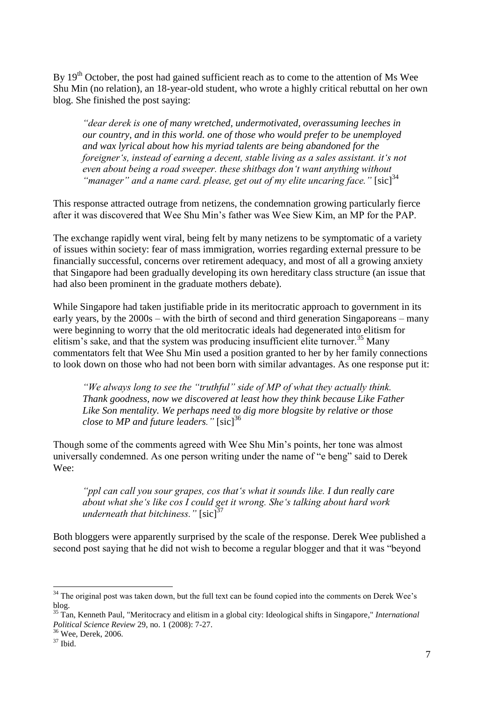By 19<sup>th</sup> October, the post had gained sufficient reach as to come to the attention of Ms Wee Shu Min (no relation), an 18-year-old student, who wrote a highly critical rebuttal on her own blog. She finished the post saying:

*"dear derek is one of many wretched, undermotivated, overassuming leeches in our country, and in this world. one of those who would prefer to be unemployed and wax lyrical about how his myriad talents are being abandoned for the foreigner's, instead of earning a decent, stable living as a sales assistant. it's not even about being a road sweeper. these shitbags don't want anything without*  "manager" and a name card. please, get out of my elite uncaring face." [sic]<sup>34</sup>

This response attracted outrage from netizens, the condemnation growing particularly fierce after it was discovered that Wee Shu Min's father was Wee Siew Kim, an MP for the PAP.

The exchange rapidly went viral, being felt by many netizens to be symptomatic of a variety of issues within society: fear of mass immigration, worries regarding external pressure to be financially successful, concerns over retirement adequacy, and most of all a growing anxiety that Singapore had been gradually developing its own hereditary class structure (an issue that had also been prominent in the graduate mothers debate).

While Singapore had taken justifiable pride in its meritocratic approach to government in its early years, by the 2000s – with the birth of second and third generation Singaporeans – many were beginning to worry that the old meritocratic ideals had degenerated into elitism for elitism's sake, and that the system was producing insufficient elite turnover.<sup>35</sup> Many commentators felt that Wee Shu Min used a position granted to her by her family connections to look down on those who had not been born with similar advantages. As one response put it:

*"We always long to see the "truthful" side of MP of what they actually think. Thank goodness, now we discovered at least how they think because Like Father Like Son mentality. We perhaps need to dig more blogsite by relative or those close to MP and future leaders.*" [sic]<sup>36</sup>

Though some of the comments agreed with Wee Shu Min's points, her tone was almost universally condemned. As one person writing under the name of "e beng" said to Derek Wee:

*"ppl can call you sour grapes, cos that's what it sounds like. I dun really care about what she's like cos I could get it wrong. She's talking about hard work underneath that bitchiness.*" [sic]<sup>3</sup>

Both bloggers were apparently surprised by the scale of the response. Derek Wee published a second post saying that he did not wish to become a regular blogger and that it was "beyond

<sup>&</sup>lt;sup>34</sup> The original post was taken down, but the full text can be found copied into the comments on Derek Wee's blog.

<sup>35</sup> Tan, Kenneth Paul, "Meritocracy and elitism in a global city: Ideological shifts in Singapore," *International Political Science Review* 29, no. 1 (2008): 7-27.

<sup>36</sup> Wee, Derek, 2006.

 $37$  Ibid.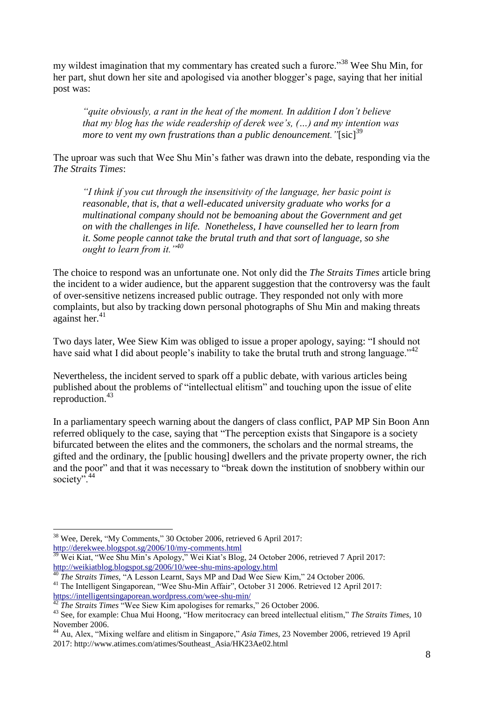my wildest imagination that my commentary has created such a furore."<sup>38</sup> Wee Shu Min, for her part, shut down her site and apologised via another blogger's page, saying that her initial post was:

*"quite obviously, a rant in the heat of the moment. In addition I don't believe that my blog has the wide readership of derek wee's, (…) and my intention was more to vent my own frustrations than a public denouncement.* "[sic]<sup>39</sup>

The uproar was such that Wee Shu Min's father was drawn into the debate, responding via the *The Straits Times*:

*"I think if you cut through the insensitivity of the language, her basic point is reasonable, that is, that a well-educated university graduate who works for a multinational company should not be bemoaning about the Government and get on with the challenges in life. Nonetheless, I have counselled her to learn from it. Some people cannot take the brutal truth and that sort of language, so she ought to learn from it."<sup>40</sup>*

The choice to respond was an unfortunate one. Not only did the *The Straits Times* article bring the incident to a wider audience, but the apparent suggestion that the controversy was the fault of over-sensitive netizens increased public outrage. They responded not only with more complaints, but also by tracking down personal photographs of Shu Min and making threats against her. 41

Two days later, Wee Siew Kim was obliged to issue a proper apology, saying: "I should not have said what I did about people's inability to take the brutal truth and strong language."<sup>42</sup>

Nevertheless, the incident served to spark off a public debate, with various articles being published about the problems of "intellectual elitism" and touching upon the issue of elite reproduction.<sup>43</sup>

In a parliamentary speech warning about the dangers of class conflict, PAP MP Sin Boon Ann referred obliquely to the case, saying that "The perception exists that Singapore is a society bifurcated between the elites and the commoners, the scholars and the normal streams, the gifted and the ordinary, the [public housing] dwellers and the private property owner, the rich and the poor" and that it was necessary to "break down the institution of snobbery within our society".<sup>44</sup>

<sup>&</sup>lt;sup>38</sup> Wee, Derek, "My Comments," 30 October 2006, retrieved 6 April 2017: <http://derekwee.blogspot.sg/2006/10/my-comments.html>

<sup>&</sup>lt;sup>39</sup> Wei Kiat, "Wee Shu Min's Apology," Wei Kiat's Blog, 24 October 2006, retrieved 7 April 2017: <http://weikiatblog.blogspot.sg/2006/10/wee-shu-mins-apology.html>

<sup>&</sup>lt;sup>1</sup> *The Straits Times*, "A Lesson Learnt, Says MP and Dad Wee Siew Kim," 24 October 2006.

<sup>41</sup> The Intelligent Singaporean, "Wee Shu-Min Affair", October 31 2006. Retrieved 12 April 2017: <https://intelligentsingaporean.wordpress.com/wee-shu-min/>

<sup>&</sup>lt;sup>12</sup> *The Straits Times* "Wee Siew Kim apologises for remarks," 26 October 2006.

<sup>43</sup> See, for example: Chua Mui Hoong, "How meritocracy can breed intellectual elitism," *The Straits Times*, 10 November 2006.

<sup>44</sup> Au, Alex, "Mixing welfare and elitism in Singapore," *Asia Times*, 23 November 2006, retrieved 19 April 2017: http://www.atimes.com/atimes/Southeast\_Asia/HK23Ae02.html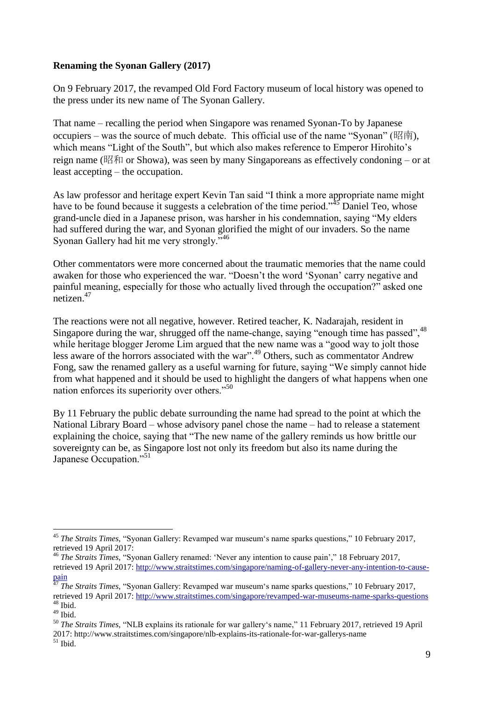# **Renaming the Syonan Gallery (2017)**

On 9 February 2017, the revamped Old Ford Factory museum of local history was opened to the press under its new name of The Syonan Gallery.

That name – recalling the period when Singapore was renamed Syonan-To by Japanese occupiers – was the source of much debate. This official use of the name "Syonan" (昭南), which means "Light of the South", but which also makes reference to Emperor Hirohito's reign name (昭和 or Showa), was seen by many Singaporeans as effectively condoning – or at least accepting – the occupation.

As law professor and heritage expert Kevin Tan said "I think a more appropriate name might have to be found because it suggests a celebration of the time period."<sup>45</sup> Daniel Teo, whose grand-uncle died in a Japanese prison, was harsher in his condemnation, saying "My elders had suffered during the war, and Syonan glorified the might of our invaders. So the name Syonan Gallery had hit me very strongly."<sup>46</sup>

Other commentators were more concerned about the traumatic memories that the name could awaken for those who experienced the war. "Doesn't the word 'Syonan' carry negative and painful meaning, especially for those who actually lived through the occupation?" asked one netizen.<sup>47</sup>

The reactions were not all negative, however. Retired teacher, K. Nadarajah, resident in Singapore during the war, shrugged off the name-change, saying "enough time has passed",<sup>48</sup> while heritage blogger Jerome Lim argued that the new name was a "good way to jolt those less aware of the horrors associated with the war".<sup>49</sup> Others, such as commentator Andrew Fong, saw the renamed gallery as a useful warning for future, saying "We simply cannot hide from what happened and it should be used to highlight the dangers of what happens when one nation enforces its superiority over others."<sup>50</sup>

By 11 February the public debate surrounding the name had spread to the point at which the National Library Board – whose advisory panel chose the name – had to release a statement explaining the choice, saying that "The new name of the gallery reminds us how brittle our sovereignty can be, as Singapore lost not only its freedom but also its name during the Japanese Occupation."<sup>51</sup>

 $\overline{\phantom{a}}$ <sup>45</sup> *The Straits Times*, "Syonan Gallery: Revamped war museum's name sparks questions," 10 February 2017, retrieved 19 April 2017:

<sup>46</sup> *The Straits Times*, "Syonan Gallery renamed: 'Never any intention to cause pain'," 18 February 2017, retrieved 19 April 2017: [http://www.straitstimes.com/singapore/naming-of-gallery-never-any-intention-to-cause](http://www.straitstimes.com/singapore/naming-of-gallery-never-any-intention-to-cause-pain)[pain](http://www.straitstimes.com/singapore/naming-of-gallery-never-any-intention-to-cause-pain)

<sup>47</sup> *The Straits Times*, "Syonan Gallery: Revamped war museum's name sparks questions," 10 February 2017, retrieved 19 April 2017:<http://www.straitstimes.com/singapore/revamped-war-museums-name-sparks-questions>  $48$  Ibid.

 $^{49}$  Ibid.

<sup>50</sup> *The Straits Times*, "NLB explains its rationale for war gallery's name," 11 February 2017, retrieved 19 April 2017: http://www.straitstimes.com/singapore/nlb-explains-its-rationale-for-war-gallerys-name  $51$  Ibid.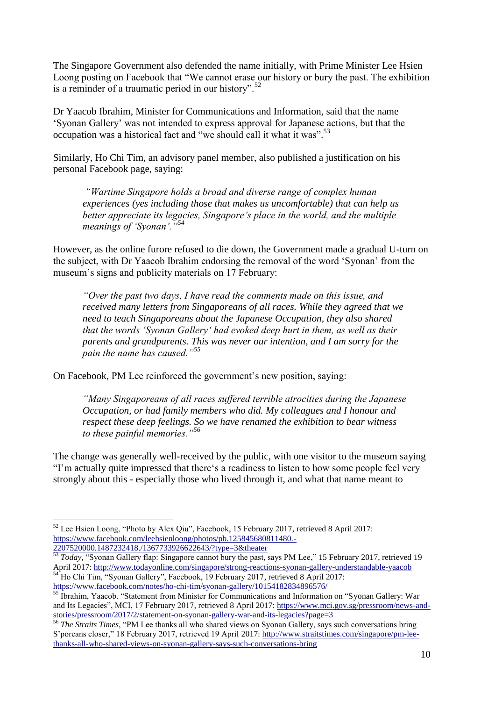The Singapore Government also defended the name initially, with Prime Minister Lee Hsien Loong posting on Facebook that "We cannot erase our history or bury the past. The exhibition is a reminder of a traumatic period in our history". $52$ 

Dr Yaacob Ibrahim, Minister for Communications and Information, said that the name 'Syonan Gallery' was not intended to express approval for Japanese actions, but that the occupation was a historical fact and "we should call it what it was".<sup>53</sup>

Similarly, Ho Chi Tim, an advisory panel member, also published a justification on his personal Facebook page, saying:

*"Wartime Singapore holds a broad and diverse range of complex human experiences (yes including those that makes us uncomfortable) that can help us better appreciate its legacies, Singapore's place in the world, and the multiple meanings of 'Syonan'."<sup>54</sup>*

However, as the online furore refused to die down, the Government made a gradual U-turn on the subject, with Dr Yaacob Ibrahim endorsing the removal of the word 'Syonan' from the museum's signs and publicity materials on 17 February:

*"Over the past two days, I have read the comments made on this issue, and received many letters from Singaporeans of all races. While they agreed that we need to teach Singaporeans about the Japanese Occupation, they also shared that the words 'Syonan Gallery' had evoked deep hurt in them, as well as their parents and grandparents. This was never our intention, and I am sorry for the pain the name has caused."<sup>55</sup>*

On Facebook, PM Lee reinforced the government's new position, saying:

*"Many Singaporeans of all races suffered terrible atrocities during the Japanese Occupation, or had family members who did. My colleagues and I honour and respect these deep feelings. So we have renamed the exhibition to bear witness to these painful memories."<sup>56</sup>*

The change was generally well-received by the public, with one visitor to the museum saying "I'm actually quite impressed that there's a readiness to listen to how some people feel very strongly about this - especially those who lived through it, and what that name meant to

<sup>52</sup> Lee Hsien Loong, "Photo by Alex Qiu", Facebook, 15 February 2017, retrieved 8 April 2017: [https://www.facebook.com/leehsienloong/photos/pb.125845680811480.-](https://www.facebook.com/leehsienloong/photos/pb.125845680811480.-2207520000.1487232418./1367733926622643/?type=3&theater) [2207520000.1487232418./1367733926622643/?type=3&theater](https://www.facebook.com/leehsienloong/photos/pb.125845680811480.-2207520000.1487232418./1367733926622643/?type=3&theater)

<sup>53</sup> *Today*, "Syonan Gallery flap: Singapore cannot bury the past, says PM Lee," 15 February 2017, retrieved 19 April 2017[: http://www.todayonline.com/singapore/strong-reactions-syonan-gallery-understandable-yaacob](http://www.todayonline.com/singapore/strong-reactions-syonan-gallery-understandable-yaacob) <sup>54</sup> Ho Chi Tim, "Syonan Gallery", Facebook, 19 February 2017, retrieved 8 April 2017:

<https://www.facebook.com/notes/ho-chi-tim/syonan-gallery/10154182834896576/><br>55 Ibrohim Veccel (60 to the chi-tim/syonan-gallery/10154182834896576/

<sup>55</sup> Ibrahim, Yaacob. "Statement from Minister for Communications and Information on "Syonan Gallery: War and Its Legacies", MCI, 17 February 2017, retrieved 8 April 2017[: https://www.mci.gov.sg/pressroom/news-and](https://www.mci.gov.sg/pressroom/news-and-stories/pressroom/2017/2/statement-on-syonan-gallery-war-and-its-legacies?page=3)[stories/pressroom/2017/2/statement-on-syonan-gallery-war-and-its-legacies?page=3](https://www.mci.gov.sg/pressroom/news-and-stories/pressroom/2017/2/statement-on-syonan-gallery-war-and-its-legacies?page=3)

<sup>&</sup>lt;sup>56</sup> *The Straits Times*, "PM Lee thanks all who shared views on Syonan Gallery, says such conversations bring S'poreans closer," 18 February 2017, retrieved 19 April 2017: [http://www.straitstimes.com/singapore/pm-lee](http://www.straitstimes.com/singapore/pm-lee-thanks-all-who-shared-views-on-syonan-gallery-says-such-conversations-bring)[thanks-all-who-shared-views-on-syonan-gallery-says-such-conversations-bring](http://www.straitstimes.com/singapore/pm-lee-thanks-all-who-shared-views-on-syonan-gallery-says-such-conversations-bring)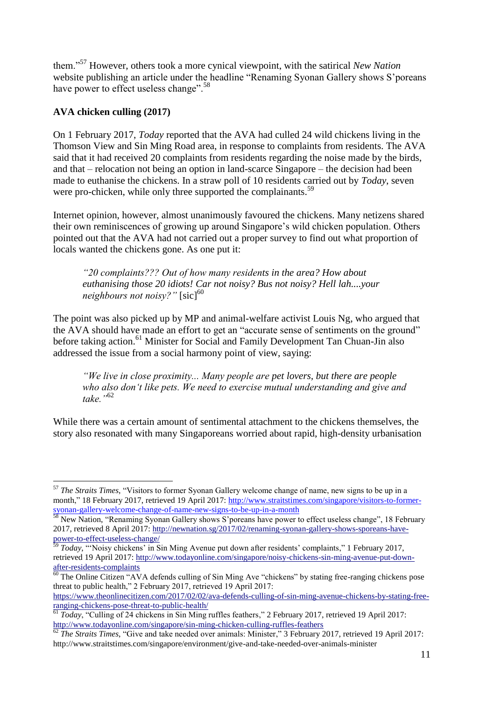them."<sup>57</sup> However, others took a more cynical viewpoint, with the satirical *New Nation* website publishing an article under the headline "Renaming Syonan Gallery shows S'poreans have power to effect useless change".<sup>58</sup>

# **AVA chicken culling (2017)**

 $\overline{a}$ 

On 1 February 2017, *Today* reported that the AVA had culled 24 wild chickens living in the Thomson View and Sin Ming Road area, in response to complaints from residents. The AVA said that it had received 20 complaints from residents regarding the noise made by the birds, and that – relocation not being an option in land-scarce Singapore – the decision had been made to euthanise the chickens. In a straw poll of 10 residents carried out by *Today*, seven were pro-chicken, while only three supported the complainants.<sup>59</sup>

Internet opinion, however, almost unanimously favoured the chickens. Many netizens shared their own reminiscences of growing up around Singapore's wild chicken population. Others pointed out that the AVA had not carried out a proper survey to find out what proportion of locals wanted the chickens gone. As one put it:

*"20 complaints??? Out of how many residents in the area? How about euthanising those 20 idiots! Car not noisy? Bus not noisy? Hell lah....your neighbours not noisy?"* [sic]<sup>60</sup>

The point was also picked up by MP and animal-welfare activist Louis Ng, who argued that the AVA should have made an effort to get an "accurate sense of sentiments on the ground" before taking action.<sup>61</sup> Minister for Social and Family Development Tan Chuan-Jin also addressed the issue from a social harmony point of view, saying:

*"We live in close proximity... Many people are pet lovers, but there are people who also don't like pets. We need to exercise mutual understanding and give and take."*<sup>62</sup>

While there was a certain amount of sentimental attachment to the chickens themselves, the story also resonated with many Singaporeans worried about rapid, high-density urbanisation

<sup>57</sup> *The Straits Times*, "Visitors to former Syonan Gallery welcome change of name, new signs to be up in a month," 18 February 2017, retrieved 19 April 2017: [http://www.straitstimes.com/singapore/visitors-to-former](http://www.straitstimes.com/singapore/visitors-to-former-syonan-gallery-welcome-change-of-name-new-signs-to-be-up-in-a-month)[syonan-gallery-welcome-change-of-name-new-signs-to-be-up-in-a-month](http://www.straitstimes.com/singapore/visitors-to-former-syonan-gallery-welcome-change-of-name-new-signs-to-be-up-in-a-month)

<sup>&</sup>lt;sup>58</sup> New Nation, "Renaming Syonan Gallery shows S'poreans have power to effect useless change", 18 February 2017, retrieved 8 April 2017: [http://newnation.sg/2017/02/renaming-syonan-gallery-shows-sporeans-have](http://newnation.sg/2017/02/renaming-syonan-gallery-shows-sporeans-have-power-to-effect-useless-change/)[power-to-effect-useless-change/](http://newnation.sg/2017/02/renaming-syonan-gallery-shows-sporeans-have-power-to-effect-useless-change/)

<sup>59</sup> *Today*, "'Noisy chickens' in Sin Ming Avenue put down after residents' complaints," 1 February 2017, retrieved 19 April 2017: [http://www.todayonline.com/singapore/noisy-chickens-sin-ming-avenue-put-down](http://www.todayonline.com/singapore/noisy-chickens-sin-ming-avenue-put-down-after-residents-complaints)[after-residents-complaints](http://www.todayonline.com/singapore/noisy-chickens-sin-ming-avenue-put-down-after-residents-complaints)

 $60$  The Online Citizen "AVA defends culling of Sin Ming Ave "chickens" by stating free-ranging chickens pose threat to public health," 2 February 2017, retrieved 19 April 2017:

[https://www.theonlinecitizen.com/2017/02/02/ava-defends-culling-of-sin-ming-avenue-chickens-by-stating-free](https://www.theonlinecitizen.com/2017/02/02/ava-defends-culling-of-sin-ming-avenue-chickens-by-stating-free-ranging-chickens-pose-threat-to-public-health/)[ranging-chickens-pose-threat-to-public-health/](https://www.theonlinecitizen.com/2017/02/02/ava-defends-culling-of-sin-ming-avenue-chickens-by-stating-free-ranging-chickens-pose-threat-to-public-health/)

<sup>&</sup>lt;sup>61</sup> *Today*, "Culling of 24 chickens in Sin Ming ruffles feathers," 2 February 2017, retrieved 19 April 2017: <http://www.todayonline.com/singapore/sin-ming-chicken-culling-ruffles-feathers>

<sup>62</sup> *The Straits Times*, "Give and take needed over animals: Minister," 3 February 2017, retrieved 19 April 2017: http://www.straitstimes.com/singapore/environment/give-and-take-needed-over-animals-minister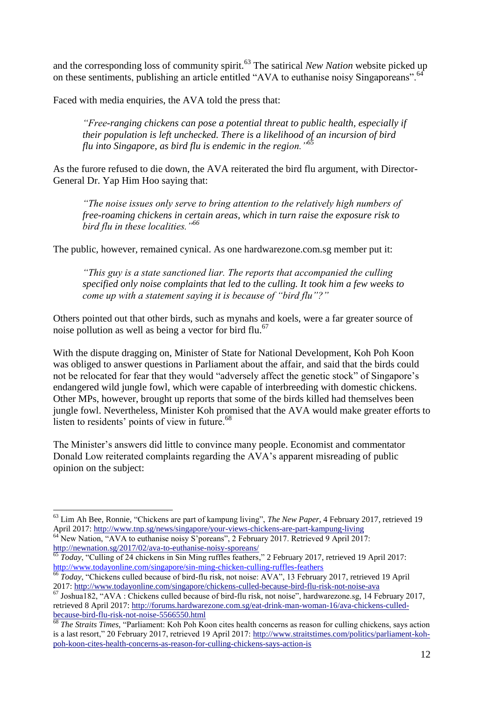and the corresponding loss of community spirit.<sup>63</sup> The satirical *New Nation* website picked up on these sentiments, publishing an article entitled "AVA to euthanise noisy Singaporeans".<sup>6</sup>

Faced with media enquiries, the AVA told the press that:

*"Free-ranging chickens can pose a potential threat to public health, especially if their population is left unchecked. There is a likelihood of an incursion of bird flu into Singapore, as bird flu is endemic in the region."<sup>65</sup>*

As the furore refused to die down, the AVA reiterated the bird flu argument, with Director-General Dr. Yap Him Hoo saying that:

*"The noise issues only serve to bring attention to the relatively high numbers of free-roaming chickens in certain areas, which in turn raise the exposure risk to bird flu in these localities."<sup>66</sup>*

The public, however, remained cynical. As one hardwarezone.com.sg member put it:

*"This guy is a state sanctioned liar. The reports that accompanied the culling specified only noise complaints that led to the culling. It took him a few weeks to come up with a statement saying it is because of "bird flu"?"* 

Others pointed out that other birds, such as mynahs and koels, were a far greater source of noise pollution as well as being a vector for bird flu. $67$ 

With the dispute dragging on, Minister of State for National Development, Koh Poh Koon was obliged to answer questions in Parliament about the affair, and said that the birds could not be relocated for fear that they would "adversely affect the genetic stock" of Singapore's endangered wild jungle fowl, which were capable of interbreeding with domestic chickens. Other MPs, however, brought up reports that some of the birds killed had themselves been jungle fowl. Nevertheless, Minister Koh promised that the AVA would make greater efforts to listen to residents' points of view in future.<sup>68</sup>

The Minister's answers did little to convince many people. Economist and commentator Donald Low reiterated complaints regarding the AVA's apparent misreading of public opinion on the subject:

<http://newnation.sg/2017/02/ava-to-euthanise-noisy-sporeans/>

 $\overline{a}$ <sup>63</sup> Lim Ah Bee, Ronnie, "Chickens are part of kampung living", *The New Paper*, 4 February 2017, retrieved 19 April 2017[: http://www.tnp.sg/news/singapore/your-views-chickens-are-part-kampung-living](http://www.tnp.sg/news/singapore/your-views-chickens-are-part-kampung-living) <sup>64</sup> New Nation, "AVA to euthanise noisy S'poreans", 2 February 2017. Retrieved 9 April 2017:

<sup>&</sup>lt;sup>65</sup> *Today*, "Culling of 24 chickens in Sin Ming ruffles feathers," 2 February 2017, retrieved 19 April 2017: <http://www.todayonline.com/singapore/sin-ming-chicken-culling-ruffles-feathers>

<sup>66</sup> *Today*, "Chickens culled because of bird-flu risk, not noise: AVA", 13 February 2017, retrieved 19 April 2017:<http://www.todayonline.com/singapore/chickens-culled-because-bird-flu-risk-not-noise-ava>

<sup>67</sup> Joshua182, "AVA : Chickens culled because of bird-flu risk, not noise", hardwarezone.sg, 14 February 2017, retrieved 8 April 2017: [http://forums.hardwarezone.com.sg/eat-drink-man-woman-16/ava-chickens-culled](http://forums.hardwarezone.com.sg/eat-drink-man-woman-16/ava-chickens-culled-because-bird-flu-risk-not-noise-5566550.html)[because-bird-flu-risk-not-noise-5566550.html](http://forums.hardwarezone.com.sg/eat-drink-man-woman-16/ava-chickens-culled-because-bird-flu-risk-not-noise-5566550.html)

<sup>68</sup> *The Straits Times*, "Parliament: Koh Poh Koon cites health concerns as reason for culling chickens, says action is a last resort," 20 February 2017, retrieved 19 April 2017: [http://www.straitstimes.com/politics/parliament-koh](http://www.straitstimes.com/politics/parliament-koh-poh-koon-cites-health-concerns-as-reason-for-culling-chickens-says-action-is)[poh-koon-cites-health-concerns-as-reason-for-culling-chickens-says-action-is](http://www.straitstimes.com/politics/parliament-koh-poh-koon-cites-health-concerns-as-reason-for-culling-chickens-says-action-is)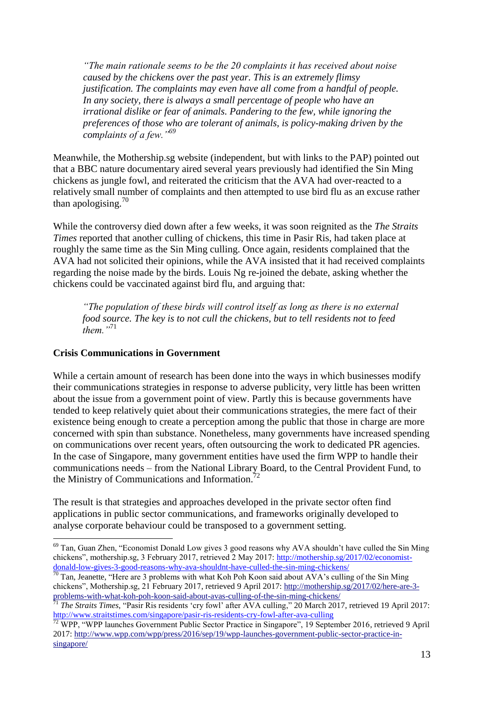*"The main rationale seems to be the 20 complaints it has received about noise caused by the chickens over the past year. This is an extremely flimsy justification. The complaints may even have all come from a handful of people. In any society, there is always a small percentage of people who have an irrational dislike or fear of animals. Pandering to the few, while ignoring the preferences of those who are tolerant of animals, is policy-making driven by the complaints of a few."<sup>69</sup>*

Meanwhile, the Mothership.sg website (independent, but with links to the PAP) pointed out that a BBC nature documentary aired several years previously had identified the Sin Ming chickens as jungle fowl, and reiterated the criticism that the AVA had over-reacted to a relatively small number of complaints and then attempted to use bird flu as an excuse rather than apologising. $10$ 

While the controversy died down after a few weeks, it was soon reignited as the *The Straits Times* reported that another culling of chickens, this time in Pasir Ris, had taken place at roughly the same time as the Sin Ming culling. Once again, residents complained that the AVA had not solicited their opinions, while the AVA insisted that it had received complaints regarding the noise made by the birds. Louis Ng re-joined the debate, asking whether the chickens could be vaccinated against bird flu, and arguing that:

*"The population of these birds will control itself as long as there is no external food source. The key is to not cull the chickens, but to tell residents not to feed them."*<sup>71</sup>

#### **Crisis Communications in Government**

While a certain amount of research has been done into the ways in which businesses modify their communications strategies in response to adverse publicity, very little has been written about the issue from a government point of view. Partly this is because governments have tended to keep relatively quiet about their communications strategies, the mere fact of their existence being enough to create a perception among the public that those in charge are more concerned with spin than substance. Nonetheless, many governments have increased spending on communications over recent years, often outsourcing the work to dedicated PR agencies. In the case of Singapore, many government entities have used the firm WPP to handle their communications needs – from the National Library Board, to the Central Provident Fund, to the Ministry of Communications and Information.<sup>72</sup>

The result is that strategies and approaches developed in the private sector often find applications in public sector communications, and frameworks originally developed to analyse corporate behaviour could be transposed to a government setting.

 $\overline{a}$  $69$  Tan, Guan Zhen, "Economist Donald Low gives 3 good reasons why AVA shouldn't have culled the Sin Ming chickens", mothership.sg, 3 February 2017, retrieved 2 May 2017: [http://mothership.sg/2017/02/economist](http://mothership.sg/2017/02/economist-donald-low-gives-3-good-reasons-why-ava-shouldnt-have-culled-the-sin-ming-chickens/)[donald-low-gives-3-good-reasons-why-ava-shouldnt-have-culled-the-sin-ming-chickens/](http://mothership.sg/2017/02/economist-donald-low-gives-3-good-reasons-why-ava-shouldnt-have-culled-the-sin-ming-chickens/)

 $70$  Tan, Jeanette, "Here are 3 problems with what Koh Poh Koon said about AVA's culling of the Sin Ming chickens", Mothership.sg, 21 February 2017, retrieved 9 April 2017: [http://mothership.sg/2017/02/here-are-3](http://mothership.sg/2017/02/here-are-3-problems-with-what-koh-poh-koon-said-about-avas-culling-of-the-sin-ming-chickens/) [problems-with-what-koh-poh-koon-said-about-avas-culling-of-the-sin-ming-chickens/](http://mothership.sg/2017/02/here-are-3-problems-with-what-koh-poh-koon-said-about-avas-culling-of-the-sin-ming-chickens/)

<sup>71</sup> *The Straits Times*, "Pasir Ris residents 'cry fowl' after AVA culling," 20 March 2017, retrieved 19 April 2017: <http://www.straitstimes.com/singapore/pasir-ris-residents-cry-fowl-after-ava-culling>

<sup>&</sup>lt;sup>72</sup> WPP, "WPP launches Government Public Sector Practice in Singapore", 19 September 2016, retrieved 9 April 2017: [http://www.wpp.com/wpp/press/2016/sep/19/wpp-launches-government-public-sector-practice-in](http://www.wpp.com/wpp/press/2016/sep/19/wpp-launches-government-public-sector-practice-in-singapore/)[singapore/](http://www.wpp.com/wpp/press/2016/sep/19/wpp-launches-government-public-sector-practice-in-singapore/)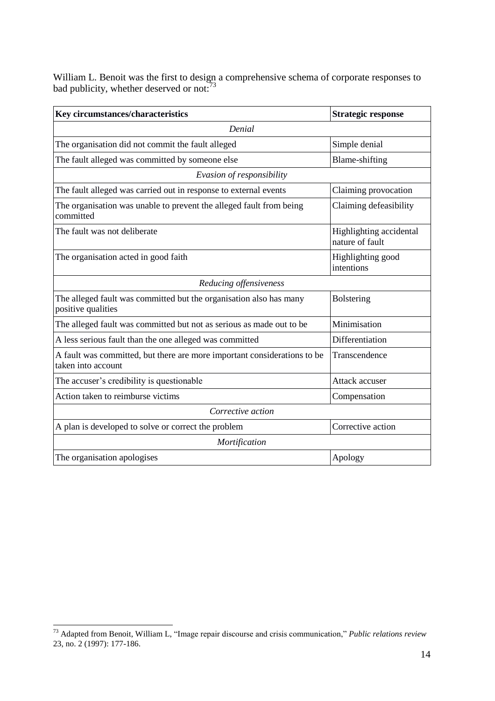William L. Benoit was the first to design a comprehensive schema of corporate responses to bad publicity, whether deserved or not:<sup>73</sup>

| Key circumstances/characteristics                                                              | <b>Strategic response</b>                  |  |  |
|------------------------------------------------------------------------------------------------|--------------------------------------------|--|--|
| Denial                                                                                         |                                            |  |  |
| The organisation did not commit the fault alleged                                              | Simple denial                              |  |  |
| The fault alleged was committed by someone else                                                | <b>Blame-shifting</b>                      |  |  |
| Evasion of responsibility                                                                      |                                            |  |  |
| The fault alleged was carried out in response to external events                               | Claiming provocation                       |  |  |
| The organisation was unable to prevent the alleged fault from being<br>committed               | Claiming defeasibility                     |  |  |
| The fault was not deliberate                                                                   | Highlighting accidental<br>nature of fault |  |  |
| The organisation acted in good faith                                                           | Highlighting good<br>intentions            |  |  |
| Reducing offensiveness                                                                         |                                            |  |  |
| The alleged fault was committed but the organisation also has many<br>positive qualities       | <b>Bolstering</b>                          |  |  |
| The alleged fault was committed but not as serious as made out to be                           | Minimisation                               |  |  |
| A less serious fault than the one alleged was committed                                        | Differentiation                            |  |  |
| A fault was committed, but there are more important considerations to be<br>taken into account | Transcendence                              |  |  |
| The accuser's credibility is questionable                                                      | Attack accuser                             |  |  |
| Action taken to reimburse victims                                                              | Compensation                               |  |  |
| Corrective action                                                                              |                                            |  |  |
| A plan is developed to solve or correct the problem                                            | Corrective action                          |  |  |
| Mortification                                                                                  |                                            |  |  |
| The organisation apologises                                                                    | Apology                                    |  |  |

 $\overline{\phantom{a}}$ <sup>73</sup> Adapted from Benoit, William L, "Image repair discourse and crisis communication," *Public relations review*  23, no. 2 (1997): 177-186.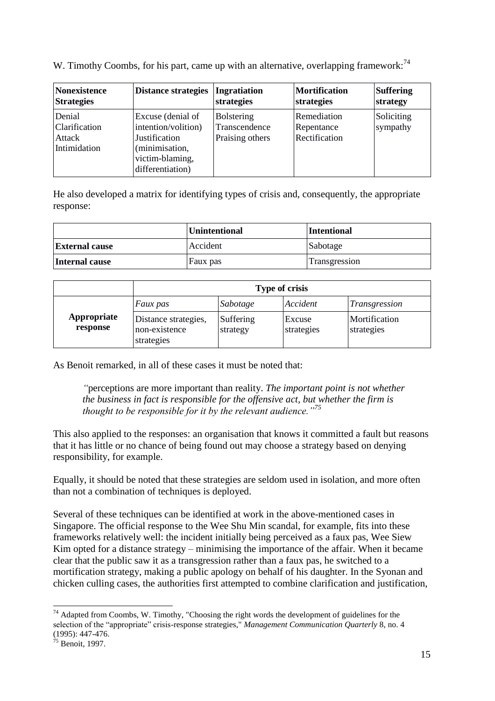W. Timothy Coombs, for his part, came up with an alternative, overlapping framework:<sup>74</sup>

| <b>Nonexistence</b>                               | <b>Distance strategies</b>                                                                                                | Ingratiation                                          | <b>Mortification</b>                       | <b>Suffering</b>       |
|---------------------------------------------------|---------------------------------------------------------------------------------------------------------------------------|-------------------------------------------------------|--------------------------------------------|------------------------|
| <b>Strategies</b>                                 |                                                                                                                           | strategies                                            | strategies                                 | strategy               |
| Denial<br>Clarification<br>Attack<br>Intimidation | Excuse (denial of<br>intention/volition)<br><b>Justification</b><br>(minimisation,<br>victim-blaming,<br>differentiation) | <b>Bolstering</b><br>Transcendence<br>Praising others | Remediation<br>Repentance<br>Rectification | Soliciting<br>sympathy |

He also developed a matrix for identifying types of crisis and, consequently, the appropriate response:

|                       | Unintentional | <b>Intentional</b> |
|-----------------------|---------------|--------------------|
| <b>External cause</b> | Accident      | Sabotage           |
| Internal cause        | Faux pas      | Transgression      |

|                         | <b>Type of crisis</b>                               |                       |                      |                             |
|-------------------------|-----------------------------------------------------|-----------------------|----------------------|-----------------------------|
|                         | <i>Faux pas</i>                                     | Sabotage              | Accident             | Transgression               |
| Appropriate<br>response | Distance strategies,<br>non-existence<br>strategies | Suffering<br>strategy | Excuse<br>strategies | Mortification<br>strategies |

As Benoit remarked, in all of these cases it must be noted that:

*"*perceptions are more important than reality. *The important point is not whether the business in fact is responsible for the offensive act, but whether the firm is thought to be responsible for it by the relevant audience."<sup>75</sup>*

This also applied to the responses: an organisation that knows it committed a fault but reasons that it has little or no chance of being found out may choose a strategy based on denying responsibility, for example.

Equally, it should be noted that these strategies are seldom used in isolation, and more often than not a combination of techniques is deployed.

Several of these techniques can be identified at work in the above-mentioned cases in Singapore. The official response to the Wee Shu Min scandal, for example, fits into these frameworks relatively well: the incident initially being perceived as a faux pas, Wee Siew Kim opted for a distance strategy – minimising the importance of the affair. When it became clear that the public saw it as a transgression rather than a faux pas, he switched to a mortification strategy, making a public apology on behalf of his daughter. In the Syonan and chicken culling cases, the authorities first attempted to combine clarification and justification,

 $\overline{\phantom{a}}$ 

 $74$  Adapted from Coombs, W. Timothy, "Choosing the right words the development of guidelines for the selection of the "appropriate" crisis-response strategies," *Management Communication Quarterly* 8, no. 4 (1995): 447-476.

 $\frac{75}{15}$  Benoit, 1997.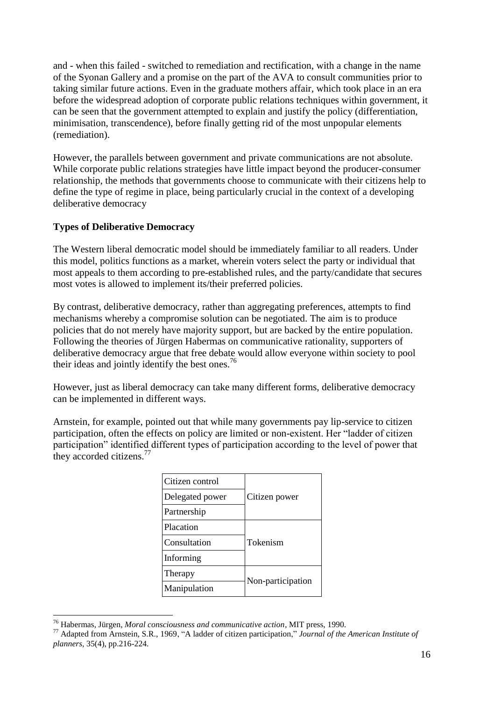and - when this failed - switched to remediation and rectification, with a change in the name of the Syonan Gallery and a promise on the part of the AVA to consult communities prior to taking similar future actions. Even in the graduate mothers affair, which took place in an era before the widespread adoption of corporate public relations techniques within government, it can be seen that the government attempted to explain and justify the policy (differentiation, minimisation, transcendence), before finally getting rid of the most unpopular elements (remediation).

However, the parallels between government and private communications are not absolute. While corporate public relations strategies have little impact beyond the producer-consumer relationship, the methods that governments choose to communicate with their citizens help to define the type of regime in place, being particularly crucial in the context of a developing deliberative democracy

# **Types of Deliberative Democracy**

The Western liberal democratic model should be immediately familiar to all readers. Under this model, politics functions as a market, wherein voters select the party or individual that most appeals to them according to pre-established rules, and the party/candidate that secures most votes is allowed to implement its/their preferred policies.

By contrast, deliberative democracy, rather than aggregating preferences, attempts to find mechanisms whereby a compromise solution can be negotiated. The aim is to produce policies that do not merely have majority support, but are backed by the entire population. Following the theories of Jürgen Habermas on communicative rationality, supporters of deliberative democracy argue that free debate would allow everyone within society to pool their ideas and jointly identify the best ones.<sup>76</sup>

However, just as liberal democracy can take many different forms, deliberative democracy can be implemented in different ways.

Arnstein, for example, pointed out that while many governments pay lip-service to citizen participation, often the effects on policy are limited or non-existent. Her "ladder of citizen participation" identified different types of participation according to the level of power that they accorded citizens.<sup>77</sup>

| Citizen control | Citizen power     |  |
|-----------------|-------------------|--|
| Delegated power |                   |  |
| Partnership     |                   |  |
| Placation       | Tokenism          |  |
| Consultation    |                   |  |
| Informing       |                   |  |
| Therapy         | Non-participation |  |
| Manipulation    |                   |  |
|                 |                   |  |

 $\overline{\phantom{a}}$ <sup>76</sup> Habermas, Jürgen, *Moral consciousness and communicative action*, MIT press, 1990.

<sup>77</sup> Adapted from Arnstein, S.R., 1969, "A ladder of citizen participation," *Journal of the American Institute of planners*, 35(4), pp.216-224.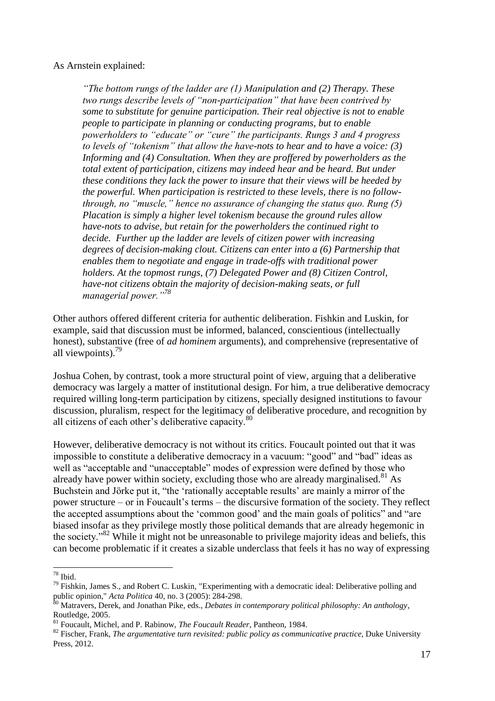As Arnstein explained:

*"The bottom rungs of the ladder are (1) Manipulation and (2) Therapy. These two rungs describe levels of "non-participation" that have been contrived by some to substitute for genuine participation. Their real objective is not to enable people to participate in planning or conducting programs, but to enable powerholders to "educate" or "cure" the participants. Rungs 3 and 4 progress to levels of "tokenism" that allow the have-nots to hear and to have a voice: (3) Informing and (4) Consultation. When they are proffered by powerholders as the total extent of participation, citizens may indeed hear and be heard. But under these conditions they lack the power to insure that their views will be heeded by the powerful. When participation is restricted to these levels, there is no followthrough, no "muscle," hence no assurance of changing the status quo. Rung (5) Placation is simply a higher level tokenism because the ground rules allow have-nots to advise, but retain for the powerholders the continued right to decide. Further up the ladder are levels of citizen power with increasing degrees of decision-making clout. Citizens can enter into a (6) Partnership that enables them to negotiate and engage in trade-offs with traditional power holders. At the topmost rungs, (7) Delegated Power and (8) Citizen Control, have-not citizens obtain the majority of decision-making seats, or full managerial power."<sup>78</sup>*

Other authors offered different criteria for authentic deliberation. Fishkin and Luskin, for example, said that discussion must be informed, balanced, conscientious (intellectually honest), substantive (free of *ad hominem* arguments), and comprehensive (representative of all viewpoints). $\frac{79}{9}$ 

Joshua Cohen, by contrast, took a more structural point of view, arguing that a deliberative democracy was largely a matter of institutional design. For him, a true deliberative democracy required willing long-term participation by citizens, specially designed institutions to favour discussion, pluralism, respect for the legitimacy of deliberative procedure, and recognition by all citizens of each other's deliberative capacity.<sup>80</sup>

However, deliberative democracy is not without its critics. Foucault pointed out that it was impossible to constitute a deliberative democracy in a vacuum: "good" and "bad" ideas as well as "acceptable and "unacceptable" modes of expression were defined by those who already have power within society, excluding those who are already marginalised.<sup>81</sup> As Buchstein and Jörke put it, "the 'rationally acceptable results' are mainly a mirror of the power structure – or in Foucault's terms – the discursive formation of the society. They reflect the accepted assumptions about the 'common good' and the main goals of politics" and "are biased insofar as they privilege mostly those political demands that are already hegemonic in the society."<sup>82</sup> While it might not be unreasonable to privilege majority ideas and beliefs, this can become problematic if it creates a sizable underclass that feels it has no way of expressing

 $78$  Ibid.

<sup>&</sup>lt;sup>79</sup> Fishkin, James S., and Robert C. Luskin, "Experimenting with a democratic ideal: Deliberative polling and public opinion," *Acta Politica* 40, no. 3 (2005): 284-298.

<sup>&</sup>lt;sup>80</sup> Matravers, Derek, and Jonathan Pike, eds., *Debates in contemporary political philosophy: An anthology*, Routledge, 2005.

<sup>81</sup> Foucault, Michel, and P. Rabinow, *The Foucault Reader*, Pantheon, 1984.

<sup>82</sup> Fischer, Frank, *The argumentative turn revisited: public policy as communicative practice*, Duke University Press, 2012.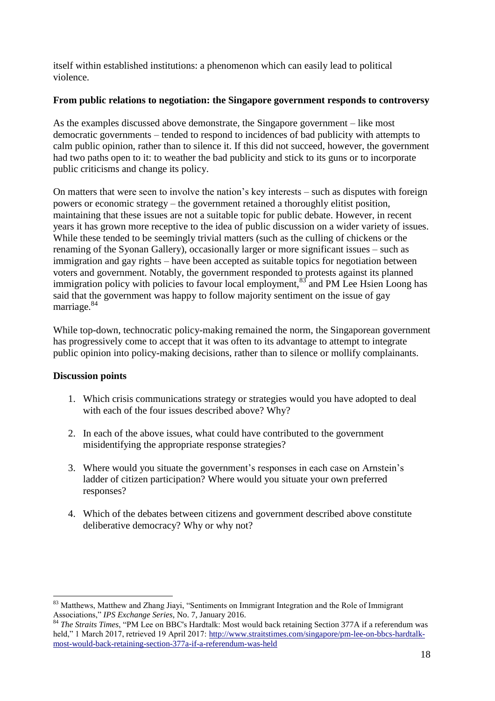itself within established institutions: a phenomenon which can easily lead to political violence.

## **From public relations to negotiation: the Singapore government responds to controversy**

As the examples discussed above demonstrate, the Singapore government – like most democratic governments – tended to respond to incidences of bad publicity with attempts to calm public opinion, rather than to silence it. If this did not succeed, however, the government had two paths open to it: to weather the bad publicity and stick to its guns or to incorporate public criticisms and change its policy.

On matters that were seen to involve the nation's key interests – such as disputes with foreign powers or economic strategy – the government retained a thoroughly elitist position, maintaining that these issues are not a suitable topic for public debate. However, in recent years it has grown more receptive to the idea of public discussion on a wider variety of issues. While these tended to be seemingly trivial matters (such as the culling of chickens or the renaming of the Syonan Gallery), occasionally larger or more significant issues – such as immigration and gay rights – have been accepted as suitable topics for negotiation between voters and government. Notably, the government responded to protests against its planned immigration policy with policies to favour local employment,  $83$  and PM Lee Hsien Loong has said that the government was happy to follow majority sentiment on the issue of gay marriage.<sup>84</sup>

While top-down, technocratic policy-making remained the norm, the Singaporean government has progressively come to accept that it was often to its advantage to attempt to integrate public opinion into policy-making decisions, rather than to silence or mollify complainants.

# **Discussion points**

- 1. Which crisis communications strategy or strategies would you have adopted to deal with each of the four issues described above? Why?
- 2. In each of the above issues, what could have contributed to the government misidentifying the appropriate response strategies?
- 3. Where would you situate the government's responses in each case on Arnstein's ladder of citizen participation? Where would you situate your own preferred responses?
- 4. Which of the debates between citizens and government described above constitute deliberative democracy? Why or why not?

 <sup>83</sup> Matthews, Matthew and Zhang Jiayi, "Sentiments on Immigrant Integration and the Role of Immigrant Associations," *IPS Exchange Series*, No. 7, January 2016.

<sup>84</sup> *The Straits Times*, "PM Lee on BBC's Hardtalk: Most would back retaining Section 377A if a referendum was held," 1 March 2017, retrieved 19 April 2017: [http://www.straitstimes.com/singapore/pm-lee-on-bbcs-hardtalk](http://www.straitstimes.com/singapore/pm-lee-on-bbcs-hardtalk-most-would-back-retaining-section-377a-if-a-referendum-was-held)[most-would-back-retaining-section-377a-if-a-referendum-was-held](http://www.straitstimes.com/singapore/pm-lee-on-bbcs-hardtalk-most-would-back-retaining-section-377a-if-a-referendum-was-held)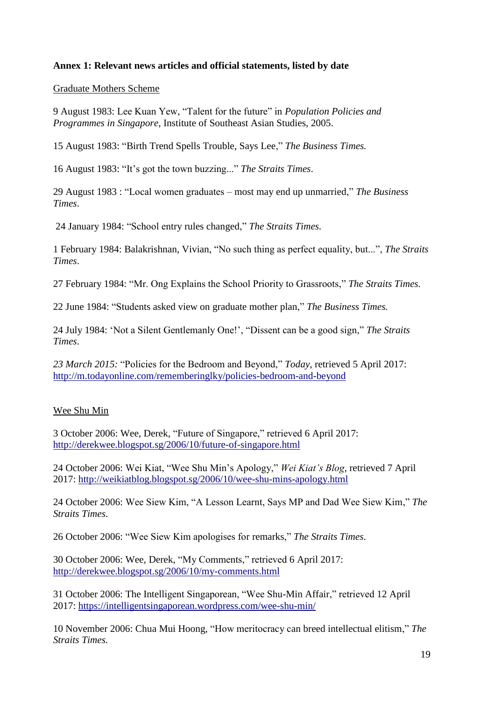# **Annex 1: Relevant news articles and official statements, listed by date**

Graduate Mothers Scheme

9 August 1983: Lee Kuan Yew, "Talent for the future" in *Population Policies and Programmes in Singapore*, Institute of Southeast Asian Studies, 2005.

15 August 1983: "Birth Trend Spells Trouble, Says Lee," *The Business Times.*

16 August 1983: "It's got the town buzzing..." *The Straits Times*.

29 August 1983 : "Local women graduates – most may end up unmarried," *The Business Times*.

24 January 1984: "School entry rules changed," *The Straits Times.*

1 February 1984: Balakrishnan, Vivian, "No such thing as perfect equality, but...", *The Straits Times*.

27 February 1984: "Mr. Ong Explains the School Priority to Grassroots," *The Straits Times.*

22 June 1984: "Students asked view on graduate mother plan," *The Business Times.*

24 July 1984: 'Not a Silent Gentlemanly One!', "Dissent can be a good sign," *The Straits Times*.

*23 March 2015:* "Policies for the Bedroom and Beyond," *Today*, retrieved 5 April 2017: <http://m.todayonline.com/rememberinglky/policies-bedroom-and-beyond>

## Wee Shu Min

3 October 2006: Wee, Derek, "Future of Singapore," retrieved 6 April 2017: <http://derekwee.blogspot.sg/2006/10/future-of-singapore.html>

24 October 2006: Wei Kiat, "Wee Shu Min's Apology," *Wei Kiat's Blog*, retrieved 7 April 2017:<http://weikiatblog.blogspot.sg/2006/10/wee-shu-mins-apology.html>

24 October 2006: Wee Siew Kim, "A Lesson Learnt, Says MP and Dad Wee Siew Kim," *The Straits Times*.

26 October 2006: "Wee Siew Kim apologises for remarks," *The Straits Times*.

30 October 2006: Wee, Derek, "My Comments," retrieved 6 April 2017: <http://derekwee.blogspot.sg/2006/10/my-comments.html>

31 October 2006: The Intelligent Singaporean, "Wee Shu-Min Affair," retrieved 12 April 2017:<https://intelligentsingaporean.wordpress.com/wee-shu-min/>

10 November 2006: Chua Mui Hoong, "How meritocracy can breed intellectual elitism," *The Straits Times.*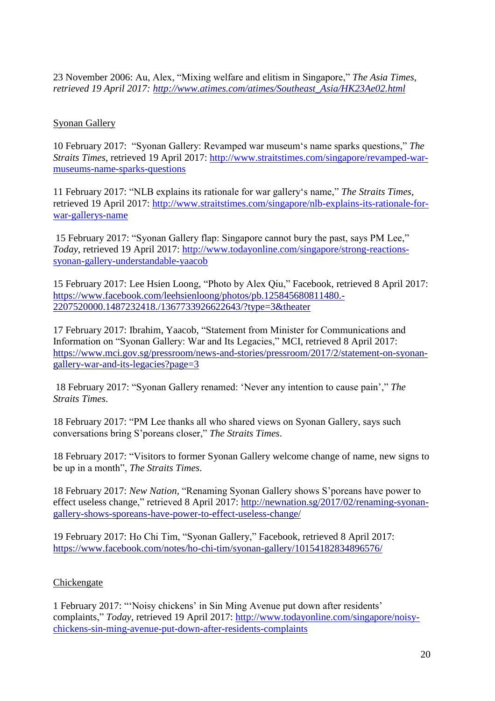23 November 2006: Au, Alex, "Mixing welfare and elitism in Singapore," *The Asia Times, retrieved 19 April 2017: [http://www.atimes.com/atimes/Southeast\\_Asia/HK23Ae02.html](http://www.atimes.com/atimes/Southeast_Asia/HK23Ae02.html)*

# Syonan Gallery

10 February 2017: "Syonan Gallery: Revamped war museum's name sparks questions," *The Straits Times*, retrieved 19 April 2017: [http://www.straitstimes.com/singapore/revamped-war](http://www.straitstimes.com/singapore/revamped-war-museums-name-sparks-questions)[museums-name-sparks-questions](http://www.straitstimes.com/singapore/revamped-war-museums-name-sparks-questions)

11 February 2017: "NLB explains its rationale for war gallery's name," *The Straits Times*, retrieved 19 April 2017: [http://www.straitstimes.com/singapore/nlb-explains-its-rationale-for](http://www.straitstimes.com/singapore/nlb-explains-its-rationale-for-war-gallerys-name)[war-gallerys-name](http://www.straitstimes.com/singapore/nlb-explains-its-rationale-for-war-gallerys-name)

15 February 2017: "Syonan Gallery flap: Singapore cannot bury the past, says PM Lee," *Today*, retrieved 19 April 2017: [http://www.todayonline.com/singapore/strong-reactions](http://www.todayonline.com/singapore/strong-reactions-syonan-gallery-understandable-yaacob)[syonan-gallery-understandable-yaacob](http://www.todayonline.com/singapore/strong-reactions-syonan-gallery-understandable-yaacob)

15 February 2017: Lee Hsien Loong, "Photo by Alex Qiu," Facebook, retrieved 8 April 2017: [https://www.facebook.com/leehsienloong/photos/pb.125845680811480.-](https://www.facebook.com/leehsienloong/photos/pb.125845680811480.-2207520000.1487232418./1367733926622643/?type=3&theater) [2207520000.1487232418./1367733926622643/?type=3&theater](https://www.facebook.com/leehsienloong/photos/pb.125845680811480.-2207520000.1487232418./1367733926622643/?type=3&theater) 

17 February 2017: Ibrahim, Yaacob, "Statement from Minister for Communications and Information on "Syonan Gallery: War and Its Legacies," MCI, retrieved 8 April 2017: [https://www.mci.gov.sg/pressroom/news-and-stories/pressroom/2017/2/statement-on-syonan](https://www.mci.gov.sg/pressroom/news-and-stories/pressroom/2017/2/statement-on-syonan-gallery-war-and-its-legacies?page=3)[gallery-war-and-its-legacies?page=3](https://www.mci.gov.sg/pressroom/news-and-stories/pressroom/2017/2/statement-on-syonan-gallery-war-and-its-legacies?page=3)

18 February 2017: "Syonan Gallery renamed: 'Never any intention to cause pain'," *The Straits Times*.

18 February 2017: "PM Lee thanks all who shared views on Syonan Gallery, says such conversations bring S'poreans closer," *The Straits Times*.

18 February 2017: "Visitors to former Syonan Gallery welcome change of name, new signs to be up in a month", *The Straits Times*.

18 February 2017: *New Nation*, "Renaming Syonan Gallery shows S'poreans have power to effect useless change," retrieved 8 April 2017: [http://newnation.sg/2017/02/renaming-syonan](http://newnation.sg/2017/02/renaming-syonan-gallery-shows-sporeans-have-power-to-effect-useless-change/)[gallery-shows-sporeans-have-power-to-effect-useless-change/](http://newnation.sg/2017/02/renaming-syonan-gallery-shows-sporeans-have-power-to-effect-useless-change/)

19 February 2017: Ho Chi Tim, "Syonan Gallery," Facebook, retrieved 8 April 2017: <https://www.facebook.com/notes/ho-chi-tim/syonan-gallery/10154182834896576/>

## **Chickengate**

1 February 2017: "'Noisy chickens' in Sin Ming Avenue put down after residents' complaints," *Today*, retrieved 19 April 2017: [http://www.todayonline.com/singapore/noisy](http://www.todayonline.com/singapore/noisy-chickens-sin-ming-avenue-put-down-after-residents-complaints)[chickens-sin-ming-avenue-put-down-after-residents-complaints](http://www.todayonline.com/singapore/noisy-chickens-sin-ming-avenue-put-down-after-residents-complaints)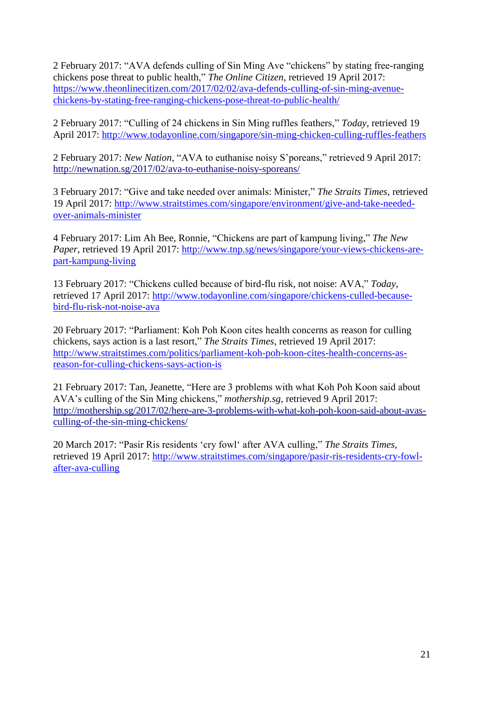2 February 2017: "AVA defends culling of Sin Ming Ave "chickens" by stating free-ranging chickens pose threat to public health," *The Online Citizen*, retrieved 19 April 2017: [https://www.theonlinecitizen.com/2017/02/02/ava-defends-culling-of-sin-ming-avenue](https://www.theonlinecitizen.com/2017/02/02/ava-defends-culling-of-sin-ming-avenue-chickens-by-stating-free-ranging-chickens-pose-threat-to-public-health/)[chickens-by-stating-free-ranging-chickens-pose-threat-to-public-health/](https://www.theonlinecitizen.com/2017/02/02/ava-defends-culling-of-sin-ming-avenue-chickens-by-stating-free-ranging-chickens-pose-threat-to-public-health/)

2 February 2017: "Culling of 24 chickens in Sin Ming ruffles feathers," *Today*, retrieved 19 April 2017:<http://www.todayonline.com/singapore/sin-ming-chicken-culling-ruffles-feathers>

2 February 2017: *New Nation*, "AVA to euthanise noisy S'poreans," retrieved 9 April 2017: <http://newnation.sg/2017/02/ava-to-euthanise-noisy-sporeans/>

3 February 2017: "Give and take needed over animals: Minister," *The Straits Times*, retrieved 19 April 2017: [http://www.straitstimes.com/singapore/environment/give-and-take-needed](http://www.straitstimes.com/singapore/environment/give-and-take-needed-over-animals-minister)[over-animals-minister](http://www.straitstimes.com/singapore/environment/give-and-take-needed-over-animals-minister)

4 February 2017: Lim Ah Bee, Ronnie, "Chickens are part of kampung living," *The New Paper*, retrieved 19 April 2017: [http://www.tnp.sg/news/singapore/your-views-chickens-are](http://www.tnp.sg/news/singapore/your-views-chickens-are-part-kampung-living)[part-kampung-living](http://www.tnp.sg/news/singapore/your-views-chickens-are-part-kampung-living)

13 February 2017: "Chickens culled because of bird-flu risk, not noise: AVA," *Today*, retrieved 17 April 2017: [http://www.todayonline.com/singapore/chickens-culled-because](http://www.todayonline.com/singapore/chickens-culled-because-bird-flu-risk-not-noise-ava)[bird-flu-risk-not-noise-ava](http://www.todayonline.com/singapore/chickens-culled-because-bird-flu-risk-not-noise-ava)

20 February 2017: "Parliament: Koh Poh Koon cites health concerns as reason for culling chickens, says action is a last resort," *The Straits Times*, retrieved 19 April 2017: [http://www.straitstimes.com/politics/parliament-koh-poh-koon-cites-health-concerns-as](http://www.straitstimes.com/politics/parliament-koh-poh-koon-cites-health-concerns-as-reason-for-culling-chickens-says-action-is)[reason-for-culling-chickens-says-action-is](http://www.straitstimes.com/politics/parliament-koh-poh-koon-cites-health-concerns-as-reason-for-culling-chickens-says-action-is)

21 February 2017: Tan, Jeanette, "Here are 3 problems with what Koh Poh Koon said about AVA's culling of the Sin Ming chickens," *mothership.sg*, retrieved 9 April 2017: [http://mothership.sg/2017/02/here-are-3-problems-with-what-koh-poh-koon-said-about-avas](http://mothership.sg/2017/02/here-are-3-problems-with-what-koh-poh-koon-said-about-avas-culling-of-the-sin-ming-chickens/)[culling-of-the-sin-ming-chickens/](http://mothership.sg/2017/02/here-are-3-problems-with-what-koh-poh-koon-said-about-avas-culling-of-the-sin-ming-chickens/) 

20 March 2017: "Pasir Ris residents 'cry fowl' after AVA culling," *The Straits Times*, retrieved 19 April 2017: [http://www.straitstimes.com/singapore/pasir-ris-residents-cry-fowl](http://www.straitstimes.com/singapore/pasir-ris-residents-cry-fowl-after-ava-culling)[after-ava-culling](http://www.straitstimes.com/singapore/pasir-ris-residents-cry-fowl-after-ava-culling)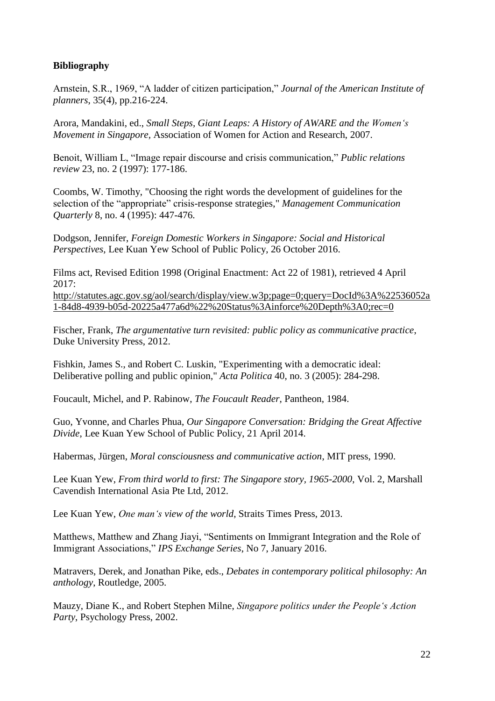# **Bibliography**

Arnstein, S.R., 1969, "A ladder of citizen participation," *Journal of the American Institute of planners*, 35(4), pp.216-224.

Arora, Mandakini, ed., *Small Steps, Giant Leaps: A History of AWARE and the Women's Movement in Singapore,* Association of Women for Action and Research, 2007.

Benoit, William L, "Image repair discourse and crisis communication," *Public relations review* 23, no. 2 (1997): 177-186.

Coombs, W. Timothy, "Choosing the right words the development of guidelines for the selection of the "appropriate" crisis-response strategies," *Management Communication Quarterly* 8, no. 4 (1995): 447-476.

Dodgson, Jennifer, *Foreign Domestic Workers in Singapore: Social and Historical Perspectives*, Lee Kuan Yew School of Public Policy, 26 October 2016.

Films act, Revised Edition 1998 (Original Enactment: Act 22 of 1981), retrieved 4 April 2017:

[http://statutes.agc.gov.sg/aol/search/display/view.w3p;page=0;query=DocId%3A%22536052a](http://statutes.agc.gov.sg/aol/search/display/view.w3p;page=0;query=DocId%3A%22536052a1-84d8-4939-b05d-20225a477a6d%22%20Status%3Ainforce%20Depth%3A0;rec=0) [1-84d8-4939-b05d-20225a477a6d%22%20Status%3Ainforce%20Depth%3A0;rec=0](http://statutes.agc.gov.sg/aol/search/display/view.w3p;page=0;query=DocId%3A%22536052a1-84d8-4939-b05d-20225a477a6d%22%20Status%3Ainforce%20Depth%3A0;rec=0)

Fischer, Frank, *The argumentative turn revisited: public policy as communicative practice*, Duke University Press, 2012.

Fishkin, James S., and Robert C. Luskin, "Experimenting with a democratic ideal: Deliberative polling and public opinion," *Acta Politica* 40, no. 3 (2005): 284-298.

Foucault, Michel, and P. Rabinow, *The Foucault Reader*, Pantheon, 1984.

Guo, Yvonne, and Charles Phua, *Our Singapore Conversation: Bridging the Great Affective Divide*, Lee Kuan Yew School of Public Policy, 21 April 2014.

Habermas, Jürgen, *Moral consciousness and communicative action*, MIT press, 1990.

Lee Kuan Yew, *From third world to first: The Singapore story, 1965-2000*, Vol. 2, Marshall Cavendish International Asia Pte Ltd, 2012.

Lee Kuan Yew, *One man's view of the world*, Straits Times Press, 2013.

Matthews, Matthew and Zhang Jiayi, "Sentiments on Immigrant Integration and the Role of Immigrant Associations," *IPS Exchange Series*, No 7, January 2016.

Matravers, Derek, and Jonathan Pike, eds., *Debates in contemporary political philosophy: An anthology*, Routledge, 2005.

Mauzy, Diane K., and Robert Stephen Milne, *Singapore politics under the People's Action Party*, Psychology Press, 2002.